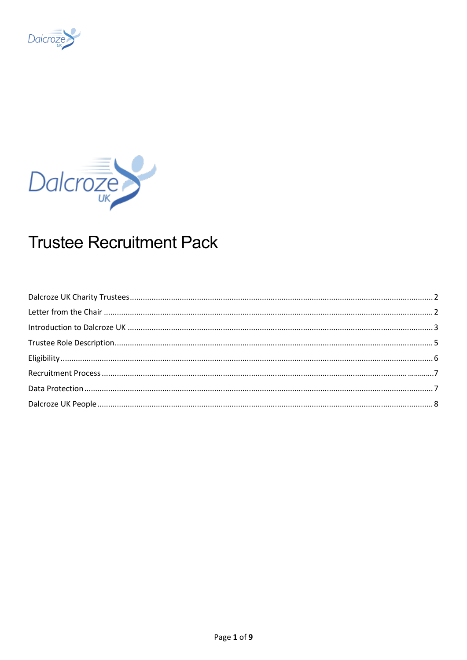



# **Trustee Recruitment Pack**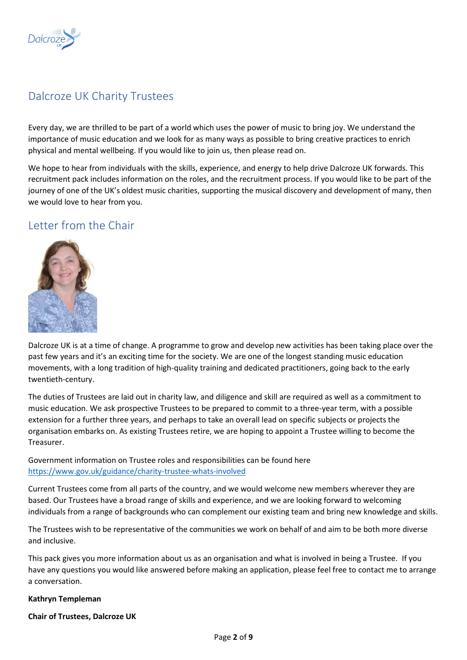

# <span id="page-1-0"></span>Dalcroze UK Charity Trustees

Every day, we are thrilled to be part of a world which uses the power of music to bring joy. We understand the importance of music education and we look for as many ways as possible to bring creative practices to enrich physical and mental wellbeing. If you would like to join us, then please read on.

We hope to hear from individuals with the skills, experience, and energy to help drive Dalcroze UK forwards. This recruitment pack includes information on the roles, and the recruitment process. If you would like to be part of the journey of one of the UK's oldest music charities, supporting the musical discovery and development of many, then we would love to hear from you.

### <span id="page-1-1"></span>Letter from the Chair



Dalcroze UK is at a time of change. A programme to grow and develop new activities has been taking place over the past few years and it's an exciting time for the society. We are one of the longest standing music education movements, with a long tradition of high-quality training and dedicated practitioners, going back to the early twentieth-century.

The duties of Trustees are laid out in charity law, and diligence and skill are required as well as a commitment to music education. We ask prospective Trustees to be prepared to commit to a three-year term, with a possible extension for a further three years, and perhaps to take an overall lead on specific subjects or projects the organisation embarks on. As existing Trustees retire, we are hoping to appoint a Trustee willing to become the Treasurer.

Government information on Trustee roles and responsibilities can be found here <https://www.gov.uk/guidance/charity-trustee-whats-involved>

Current Trustees come from all parts of the country, and we would welcome new members wherever they are based. Our Trustees have a broad range of skills and experience, and we are looking forward to welcoming individuals from a range of backgrounds who can complement our existing team and bring new knowledge and skills.

The Trustees wish to be representative of the communities we work on behalf of and aim to be both more diverse and inclusive.

This pack gives you more information about us as an organisation and what is involved in being a Trustee. If you have any questions you would like answered before making an application, please feel free to contact me to arrange a conversation.

#### **Kathryn Templeman**

**Chair of Trustees, Dalcroze UK**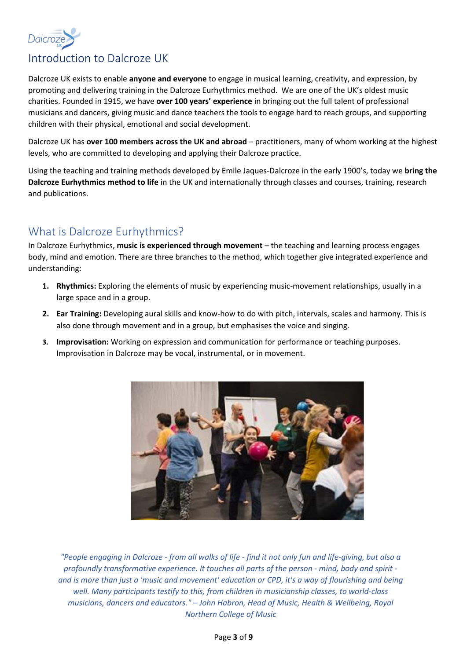

# <span id="page-2-0"></span>Introduction to Dalcroze UK

Dalcroze UK exists to enable **anyone and everyone** to engage in musical learning, creativity, and expression, by promoting and delivering training in the Dalcroze Eurhythmics method. We are one of the UK's oldest music charities. Founded in 1915, we have **over 100 years' experience** in bringing out the full talent of professional musicians and dancers, giving music and dance teachers the tools to engage hard to reach groups, and supporting children with their physical, emotional and social development.

Dalcroze UK has **over 100 members across the UK and abroad** – practitioners, many of whom working at the highest levels, who are committed to developing and applying their Dalcroze practice.

Using the teaching and training methods developed by Emile Jaques-Dalcroze in the early 1900's, today we **bring the Dalcroze Eurhythmics method to life** in the UK and internationally through classes and courses, training, research and publications.

# What is Dalcroze Eurhythmics?

In Dalcroze Eurhythmics, **music is experienced through movement** – the teaching and learning process engages body, mind and emotion. There are three branches to the method, which together give integrated experience and understanding:

- **1. Rhythmics:** Exploring the elements of music by experiencing music-movement relationships, usually in a large space and in a group.
- **2. Ear Training:** Developing aural skills and know-how to do with pitch, intervals, scales and harmony. This is also done through movement and in a group, but emphasises the voice and singing.
- **3. Improvisation:** Working on expression and communication for performance or teaching purposes. Improvisation in Dalcroze may be vocal, instrumental, or in movement.



*"People engaging in Dalcroze - from all walks of life - find it not only fun and life-giving, but also a profoundly transformative experience. It touches all parts of the person - mind, body and spirit and is more than just a 'music and movement' education or CPD, it's a way of flourishing and being well. Many participants testify to this, from children in musicianship classes, to world-class musicians, dancers and educators." – John Habron, Head of Music, Health & Wellbeing, Royal Northern College of Music*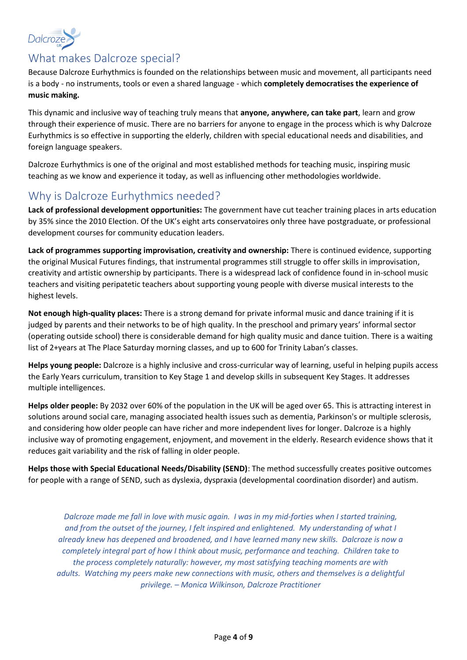

# What makes Dalcroze special?

Because Dalcroze Eurhythmics is founded on the relationships between music and movement, all participants need is a body - no instruments, tools or even a shared language - which **completely democratises the experience of music making.**

This dynamic and inclusive way of teaching truly means that **anyone, anywhere, can take part**, learn and grow through their experience of music. There are no barriers for anyone to engage in the process which is why Dalcroze Eurhythmics is so effective in supporting the elderly, children with special educational needs and disabilities, and foreign language speakers.

Dalcroze Eurhythmics is one of the original and most established methods for teaching music, inspiring music teaching as we know and experience it today, as well as influencing other methodologies worldwide.

# Why is Dalcroze Eurhythmics needed?

**Lack of professional development opportunities:** The government have cut teacher training places in arts education by 35% since the 2010 Election. Of the UK's eight arts conservatoires only three have postgraduate, or professional development courses for community education leaders.

**Lack of programmes supporting improvisation, creativity and ownership:** There is continued evidence, supporting the original Musical Futures findings, that instrumental programmes still struggle to offer skills in improvisation, creativity and artistic ownership by participants. There is a widespread lack of confidence found in in-school music teachers and visiting peripatetic teachers about supporting young people with diverse musical interests to the highest levels.

**Not enough high-quality places:** There is a strong demand for private informal music and dance training if it is judged by parents and their networks to be of high quality. In the preschool and primary years' informal sector (operating outside school) there is considerable demand for high quality music and dance tuition. There is a waiting list of 2+years at The Place Saturday morning classes, and up to 600 for Trinity Laban's classes.

**Helps young people:** Dalcroze is a highly inclusive and cross-curricular way of learning, useful in helping pupils access the Early Years curriculum, transition to Key Stage 1 and develop skills in subsequent Key Stages. It addresses multiple intelligences.

**Helps older people:** By 2032 over 60% of the population in the UK will be aged over 65. This is attracting interest in solutions around social care, managing associated health issues such as dementia, Parkinson's or multiple sclerosis, and considering how older people can have richer and more independent lives for longer. Dalcroze is a highly inclusive way of promoting engagement, enjoyment, and movement in the elderly. Research evidence shows that it reduces gait variability and the risk of falling in older people.

**Helps those with Special Educational Needs/Disability (SEND)**: The method successfully creates positive outcomes for people with a range of SEND, such as dyslexia, dyspraxia (developmental coordination disorder) and autism.

*Dalcroze made me fall in love with music again. I was in my mid-forties when I started training, and from the outset of the journey, I felt inspired and enlightened. My understanding of what I already knew has deepened and broadened, and I have learned many new skills. Dalcroze is now a completely integral part of how I think about music, performance and teaching. Children take to the process completely naturally: however, my most satisfying teaching moments are with adults. Watching my peers make new connections with music, others and themselves is a delightful privilege. – Monica Wilkinson, Dalcroze Practitioner*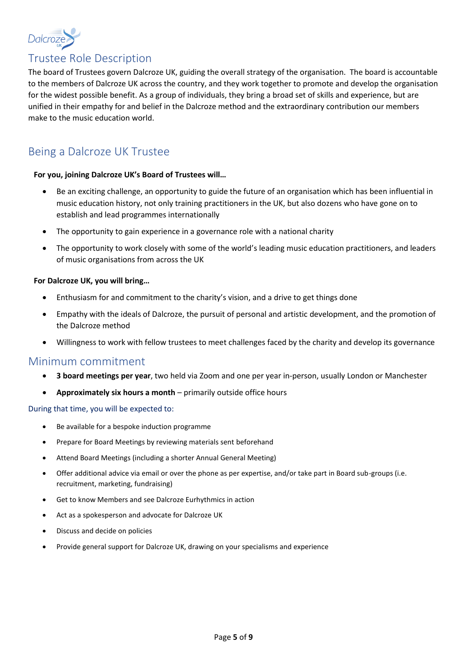

# <span id="page-4-0"></span>Trustee Role Description

The board of Trustees govern Dalcroze UK, guiding the overall strategy of the organisation. The board is accountable to the members of Dalcroze UK across the country, and they work together to promote and develop the organisation for the widest possible benefit. As a group of individuals, they bring a broad set of skills and experience, but are unified in their empathy for and belief in the Dalcroze method and the extraordinary contribution our members make to the music education world.

# Being a Dalcroze UK Trustee

#### **For you, joining Dalcroze UK's Board of Trustees will…**

- Be an exciting challenge, an opportunity to guide the future of an organisation which has been influential in music education history, not only training practitioners in the UK, but also dozens who have gone on to establish and lead programmes internationally
- The opportunity to gain experience in a governance role with a national charity
- The opportunity to work closely with some of the world's leading music education practitioners, and leaders of music organisations from across the UK

#### **For Dalcroze UK, you will bring…**

- Enthusiasm for and commitment to the charity's vision, and a drive to get things done
- Empathy with the ideals of Dalcroze, the pursuit of personal and artistic development, and the promotion of the Dalcroze method
- Willingness to work with fellow trustees to meet challenges faced by the charity and develop its governance

#### Minimum commitment

- **3 board meetings per year**, two held via Zoom and one per year in-person, usually London or Manchester
- **Approximately six hours a month**  primarily outside office hours

#### During that time, you will be expected to:

- Be available for a bespoke induction programme
- Prepare for Board Meetings by reviewing materials sent beforehand
- Attend Board Meetings (including a shorter Annual General Meeting)
- Offer additional advice via email or over the phone as per expertise, and/or take part in Board sub-groups (i.e. recruitment, marketing, fundraising)
- Get to know Members and see Dalcroze Eurhythmics in action
- Act as a spokesperson and advocate for Dalcroze UK
- Discuss and decide on policies
- Provide general support for Dalcroze UK, drawing on your specialisms and experience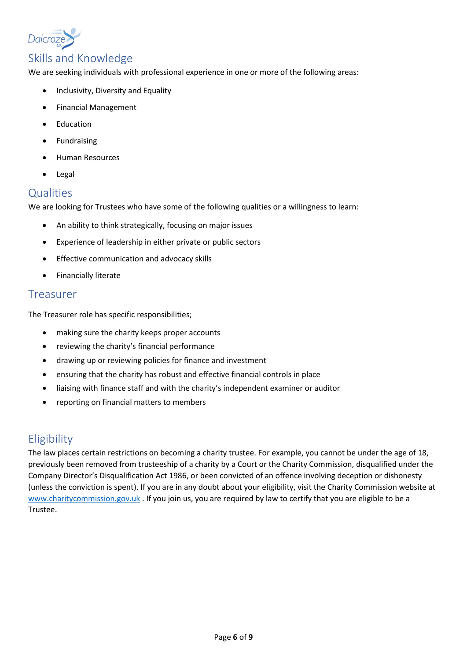

### Skills and Knowledge

We are seeking individuals with professional experience in one or more of the following areas:

- Inclusivity, Diversity and Equality
- Financial Management
- Education
- **Fundraising**
- Human Resources
- Legal

### **Qualities**

We are looking for Trustees who have some of the following qualities or a willingness to learn:

- An ability to think strategically, focusing on major issues
- Experience of leadership in either private or public sectors
- Effective communication and advocacy skills
- Financially literate

### Treasurer

The Treasurer role has specific responsibilities;

- making sure the charity keeps proper accounts
- reviewing the charity's financial performance
- drawing up or reviewing policies for finance and investment
- ensuring that the charity has robust and effective financial controls in place
- liaising with finance staff and with the charity's independent examiner or auditor
- reporting on financial matters to members

### <span id="page-5-0"></span>**Eligibility**

<span id="page-5-1"></span>The law places certain restrictions on becoming a charity trustee. For example, you cannot be under the age of 18, previously been removed from trusteeship of a charity by a Court or the Charity Commission, disqualified under the Company Director's Disqualification Act 1986, or been convicted of an offence involving deception or dishonesty (unless the conviction is spent). If you are in any doubt about your eligibility, visit the Charity Commission website at [www.charitycommission.gov.uk](http://www.charitycommission.gov.uk/). If you join us, you are required by law to certify that you are eligible to be a Trustee.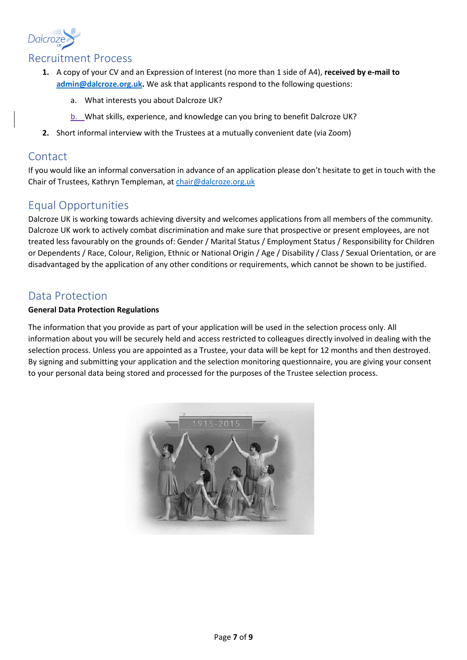

### Recruitment Process

- **1.** A copy of your CV and an Expression of Interest (no more than 1 side of A4), **received by e-mail to [admin@dalcroze.org.uk.](mailto:admin@dalcroze.org.uk)** We ask that applicants respond to the following questions:
	- a. What interests you about Dalcroze UK?
	- b. What skills, experience, and knowledge can you bring to benefit Dalcroze UK?
- **2.** Short informal interview with the Trustees at a mutually convenient date (via Zoom)

### **Contact**

If you would like an informal conversation in advance of an application please don't hesitate to get in touch with the Chair of Trustees, Kathryn Templeman, a[t chair@dalcroze.org.uk](mailto:chair@dalcroze.org.uk)

# Equal Opportunities

Dalcroze UK is working towards achieving diversity and welcomes applications from all members of the community. Dalcroze UK work to actively combat discrimination and make sure that prospective or present employees, are not treated less favourably on the grounds of: Gender / Marital Status / Employment Status / Responsibility for Children or Dependents / Race, Colour, Religion, Ethnic or National Origin / Age / Disability / Class / Sexual Orientation, or are disadvantaged by the application of any other conditions or requirements, which cannot be shown to be justified.

## <span id="page-6-0"></span>Data Protection

#### **General Data Protection Regulations**

The information that you provide as part of your application will be used in the selection process only. All information about you will be securely held and access restricted to colleagues directly involved in dealing with the selection process. Unless you are appointed as a Trustee, your data will be kept for 12 months and then destroyed. By signing and submitting your application and the selection monitoring questionnaire, you are giving your consent to your personal data being stored and processed for the purposes of the Trustee selection process.

<span id="page-6-1"></span>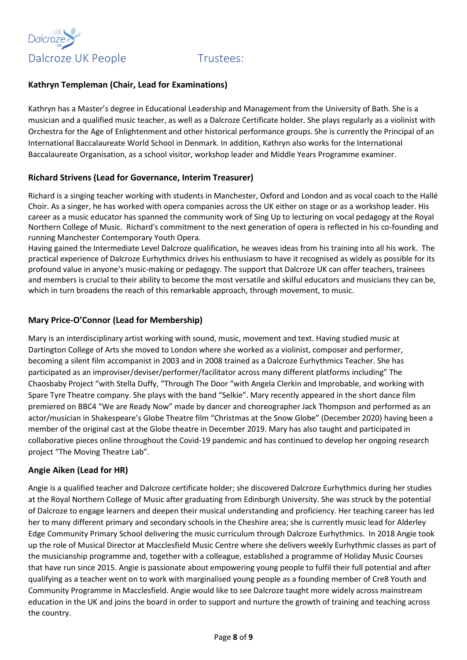



### **Kathryn Templeman (Chair, Lead for Examinations)**

Kathryn has a Master's degree in Educational Leadership and Management from the University of Bath. She is a musician and a qualified music teacher, as well as a Dalcroze Certificate holder. She plays regularly as a violinist with Orchestra for the Age of Enlightenment and other historical performance groups. She is currently the Principal of an International Baccalaureate World School in Denmark. In addition, Kathryn also works for the International Baccalaureate Organisation, as a school visitor, workshop leader and Middle Years Programme examiner.

### **Richard Strivens (Lead for Governance, Interim Treasurer)**

Richard is a singing teacher working with students in Manchester, Oxford and London and as vocal coach to the Hallé Choir. As a singer, he has worked with opera companies across the UK either on stage or as a workshop leader. His career as a music educator has spanned the community work of Sing Up to lecturing on vocal pedagogy at the Royal Northern College of Music. Richard's commitment to the next generation of opera is reflected in his co-founding and running Manchester Contemporary Youth Opera.

Having gained the Intermediate Level Dalcroze qualification, he weaves ideas from his training into all his work. The practical experience of Dalcroze Eurhythmics drives his enthusiasm to have it recognised as widely as possible for its profound value in anyone's music-making or pedagogy. The support that Dalcroze UK can offer teachers, trainees and members is crucial to their ability to become the most versatile and skilful educators and musicians they can be, which in turn broadens the reach of this remarkable approach, through movement, to music.

### **Mary Price-O'Connor (Lead for Membership)**

Mary is an interdisciplinary artist working with sound, music, movement and text. Having studied music at Dartington College of Arts she moved to London where she worked as a violinist, composer and performer, becoming a silent film accompanist in 2003 and in 2008 trained as a Dalcroze Eurhythmics Teacher. She has participated as an improviser/deviser/performer/facilitator across many different platforms including" The Chaosbaby Project "with Stella Duffy, "Through The Door "with Angela Clerkin and Improbable, and working with Spare Tyre Theatre company. She plays with the band "Selkie". Mary recently appeared in the short dance film premiered on BBC4 "We are Ready Now" made by dancer and choreographer Jack Thompson and performed as an actor/musician in Shakespeare's Globe Theatre film "Christmas at the Snow Globe" (December 2020) having been a member of the original cast at the Globe theatre in December 2019. Mary has also taught and participated in collaborative pieces online throughout the Covid-19 pandemic and has continued to develop her ongoing research project "The Moving Theatre Lab".

#### **Angie Aiken (Lead for HR)**

Angie is a qualified teacher and Dalcroze certificate holder; she discovered Dalcroze Eurhythmics during her studies at the Royal Northern College of Music after graduating from Edinburgh University. She was struck by the potential of Dalcroze to engage learners and deepen their musical understanding and proficiency. Her teaching career has led her to many different primary and secondary schools in the Cheshire area; she is currently music lead for Alderley Edge Community Primary School delivering the music curriculum through Dalcroze Eurhythmics. In 2018 Angie took up the role of Musical Director at Macclesfield Music Centre where she delivers weekly Eurhythmic classes as part of the musicianship programme and, together with a colleague, established a programme of Holiday Music Courses that have run since 2015. Angie is passionate about empowering young people to fulfil their full potential and after qualifying as a teacher went on to work with marginalised young people as a founding member of Cre8 Youth and Community Programme in Macclesfield. Angie would like to see Dalcroze taught more widely across mainstream education in the UK and joins the board in order to support and nurture the growth of training and teaching across the country.